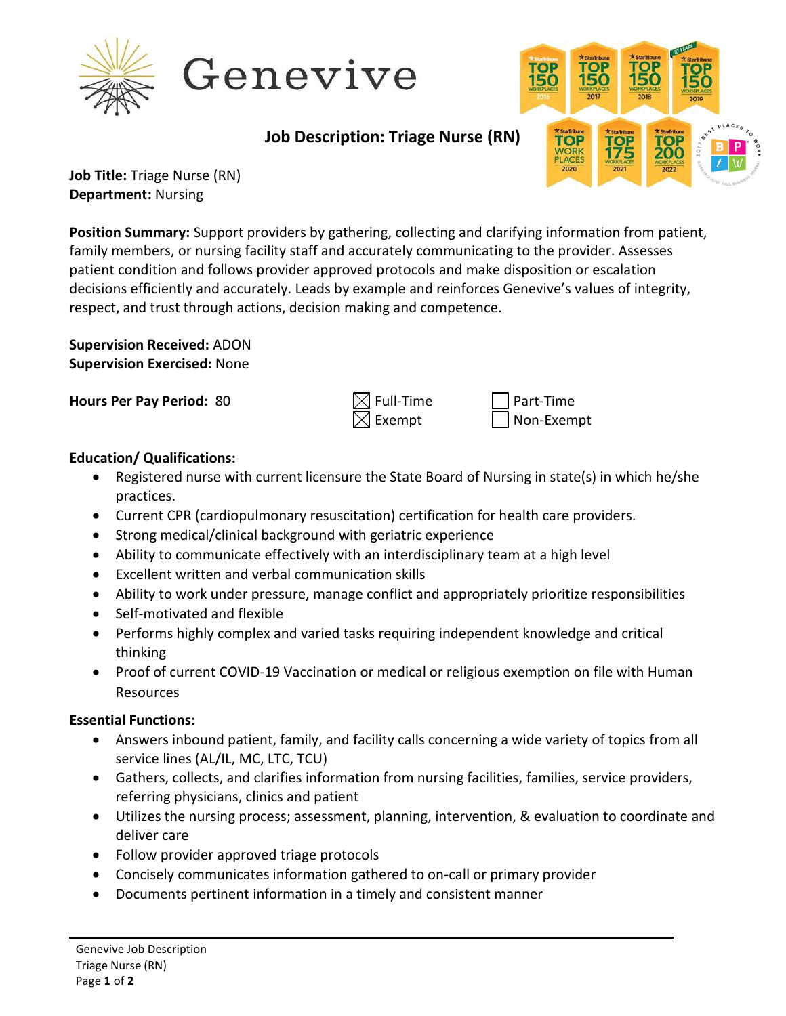

# Genevive

**Job Description: Triage Nurse (RN)**



**Job Title:** Triage Nurse (RN) **Department:** Nursing

**Position Summary:** Support providers by gathering, collecting and clarifying information from patient, family members, or nursing facility staff and accurately communicating to the provider. Assesses patient condition and follows provider approved protocols and make disposition or escalation decisions efficiently and accurately. Leads by example and reinforces Genevive's values of integrity, respect, and trust through actions, decision making and competence.

**Supervision Received:** ADON **Supervision Exercised:** None

**Hours Per Pay Period:** 80  $\bowtie$  Full-Time Part-Time

Exempt | Non-Exempt

### **Education/ Qualifications:**

- Registered nurse with current licensure the State Board of Nursing in state(s) in which he/she practices.
- Current CPR (cardiopulmonary resuscitation) certification for health care providers.
- Strong medical/clinical background with geriatric experience
- Ability to communicate effectively with an interdisciplinary team at a high level
- Excellent written and verbal communication skills
- Ability to work under pressure, manage conflict and appropriately prioritize responsibilities
- Self-motivated and flexible
- Performs highly complex and varied tasks requiring independent knowledge and critical thinking
- Proof of current COVID-19 Vaccination or medical or religious exemption on file with Human Resources

### **Essential Functions:**

- Answers inbound patient, family, and facility calls concerning a wide variety of topics from all service lines (AL/IL, MC, LTC, TCU)
- Gathers, collects, and clarifies information from nursing facilities, families, service providers, referring physicians, clinics and patient
- Utilizes the nursing process; assessment, planning, intervention, & evaluation to coordinate and deliver care
- Follow provider approved triage protocols
- Concisely communicates information gathered to on-call or primary provider
- Documents pertinent information in a timely and consistent manner